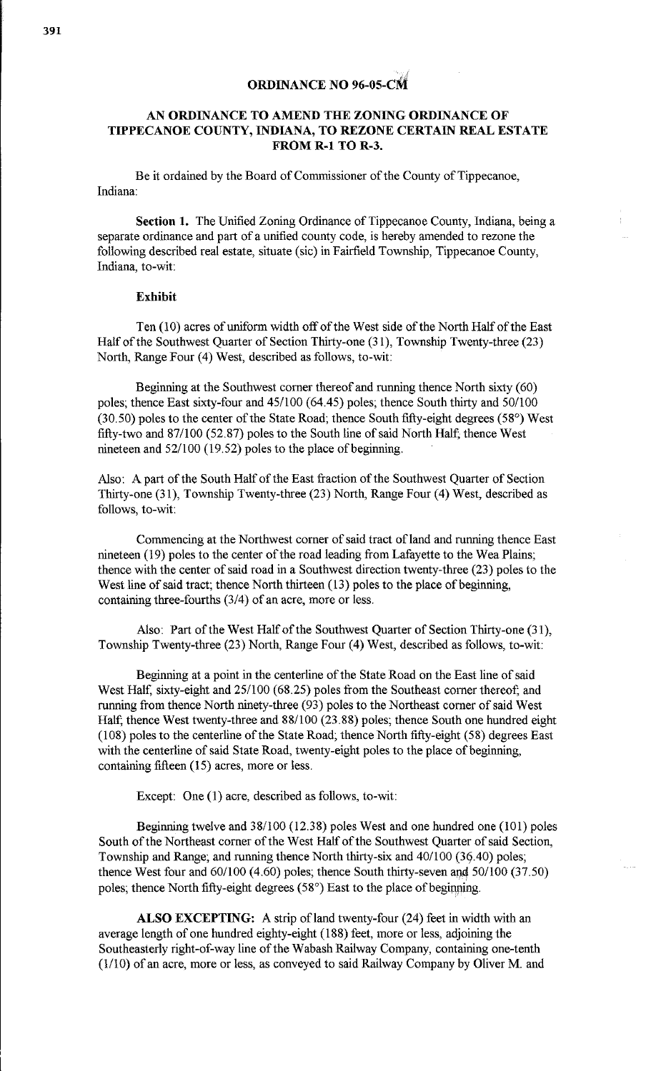## $j_{\phi}$  ; **ORDINANCE NO 96-05-CM**

## **AN ORDINANCE TO AMEND THE ZONING ORDINANCE OF TIPPECANOE COUNTY, INDIANA, TO REZONE CERTAIN REAL ESTATE FROM R-1 TO R-3.**

Be it ordained by the Board of Commissioner of the County of Tippecanoe, Indiana:

**Section 1.** The Unified Zoning Ordinance of Tippecanoe County, Indiana, being a separate ordinance and part of a unified county code, is hereby amended to rezone the following described real estate, situate (sic) in Fairfield Township, Tippecanoe County, Indiana, to-wit:

## **Exhibit**

Ten (10) acres of uniform width off of the West side of the North Half of the East Half of the Southwest Quarter of Section Thirty-one (31 ), Township Twenty-three (23) North, Range Four (4) West, described as follows, to-wit:

Beginning at the Southwest corner thereof and running thence North sixty (60) poles; thence East sixty-four and 45/100 (64.45) poles; thence South thirty and 50/100 (30.50) poles to the center of the State Road; thence South fifty-eight degrees (58°) West fifty-two and 87/100 (52.87) poles to the South line of said North Half; thence West nineteen and 52/100 (19.52) poles to the place of beginning.

Also: A part of the South Half of the East fraction of the Southwest Quarter of Section Thirty-one (31), Township Twenty-three (23) North, Range Four (4) West, described as follows, to-wit:

Commencing at the Northwest corner of said tract of land and running thence East nineteen (19) poles to the center of the road leading from Lafayette to the Wea Plains; thence with the center of said road in a Southwest direction twenty-three (23) poles to the West line of said tract; thence North thirteen (13) poles to the place of beginning, containing three-fourths (3/4) of an acre, more or less.

Also: Part of the West Half of the Southwest Quarter of Section Thirty-one (31), Township Twenty-three (23) North, Range Four (4) West, described as follows, to-wit:

Beginning at a point in the centerline of the State Road on the East line of said West Half, sixty-eight and 25/100 (68.25) poles from the Southeast corner thereof; and running from thence North ninety-three (93) poles to the Northeast corner of said West Half; thence West twenty-three and 88/100 (23.88) poles; thence Sonth one hundred eight (108) poles to the centerline of the State Road; thence North fifty-eight (58) degrees East with the centerline of said State Road, twenty-eight poles to the place of beginning, containing fifteen (15) acres, more or less.

Except: One (1) acre, described as follows, to-wit:

Beginning twelve and 38/100 (12.38) poles West and one hundred one (101) poles South of the Northeast comer of the West Half of the Southwest Quarter of said Section, Township and Range; and running thence North thirty-six and 40/100 (39.40) poles; thence West four and  $60/100$  (4.60) poles; thence South thirty-seven and  $50/100$  (37.50) poles; thence North fifty-eight degrees (58°) East to the place of beginning.

**ALSO EXCEPTING:** A strip of land twenty-four (24) feet in width with an average length of one hundred eighty-eight (188) feet, more or less, adjoining the Southeasterly right-of-way line of the Wabash Railway Company, containing one-tenth (1/10) of an acre, more or less, as conveyed to said Railway Company by Oliver M. and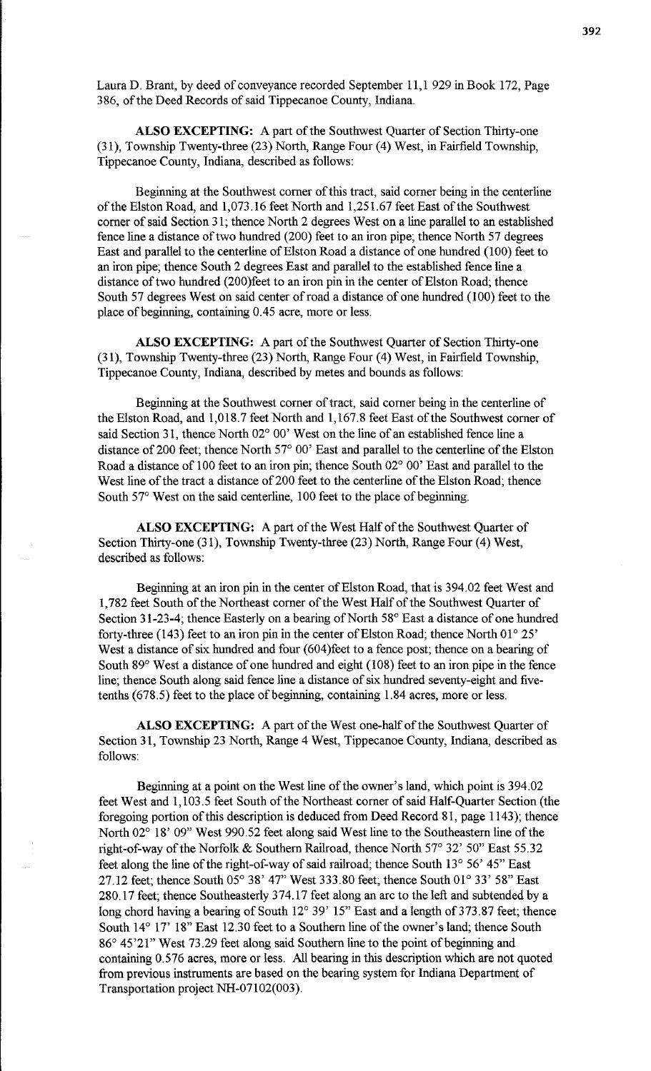Laura D. Brant, by deed of conveyance recorded September 11, 1 929 in Book 172, Page 386, of the Deed Records of said Tippecanoe County, Indiana.

**ALSO EXCEPTING:** A part of the Southwest Quarter of Section Thirty-one (31), Township Twenty-three (23) North, Range Four (4) West, in Fairfield Township, Tippecanoe County, Indiana, described as follows:

Beginning at the Southwest corner of this tract, said corner being in the centerline of the Elston Road, and 1,073.16 feet North and 1,251.67 feet East of the Southwest corner of said Section 31; thence North 2 degrees West on a line parallel to an established fence line a distance of two hundred (200) feet to an iron pipe; thence North 57 degrees East and parallel to the centerline of Elston Road a distance of one hundred (100) feet to an iron pipe; thence South 2 degrees East and parallel to the established fence line a distance of two hundred (200)feet to an iron pin in the center of Elston Road; thence South 57 degrees West on said center of road a distance of one hundred (100) feet to the place of beginning, containing 0.45 acre, more or less.

**ALSO EXCEPTING:** A part of the Southwest Quarter of Section Thirty-one (31), Township Twenty-three (23) North, Range Four (4) West, in Fairfield Township, Tippecanoe County, Indiana, described by metes and bounds as follows:

Beginning at the Southwest corner of tract, said corner being in the centerline of the Elston Road, and 1,018.7 feet North and 1,167.8 feet East of the Southwest corner of said Section 31, thence North 02° 00' West on the line of an established fence line a distance of 200 feet; thence North 57° 00' East and parallel to the centerline of the Elston Road a distance of 100 feet to an iron pin; thence South 02° 00' East and parallel to the West line of the tract a distance of 200 feet to the centerline of the Elston Road; thence South 57° West on the said centerline, 100 feet to the place of beginning.

**ALSO EXCEPTING:** A part of the West Half of the Southwest Quarter of Section Thirty-one (31), Township Twenty-three (23) North, Range Four (4) West, described as follows:

Beginning at an iron pin in the center of Elston Road, that is 394.02 feet West and 1,782 feet South of the Northeast corner of the West Half of the Southwest Quarter of Section 31-23-4; thence Easterly on a bearing of North 58° East a distance of one hundred forty-three (143) feet to an iron pin in the center of Elston Road; thence North 01° 25' West a distance of six hundred and four (604)feet to a fence post; thence on a bearing of South 89° West a distance of one hundred and eight (108) feet to an iron pipe in the fence line; thence South along said fence line a distance of six hundred seventy-eight and fivetenths (678.5) feet to the place of beginning, containing 1.84 acres, more or less.

**ALSO EXCEPTING:** A part of the West one-half of the Southwest Quarter of Section 31, Township 23 North, Range 4 West, Tippecanoe County, Indiana, described as follows:

Beginning at a point on the West line of the owner's land, which point is 394.02 feet West and 1,103.5 feet South of the Northeast corner of said Half-Quarter Section (the foregoing portion of this description is deduced from Deed Record 81, page 1143); thence North 02° 18' 09" West 990.52 feet along said West line to the Southeastern line of the right-of-way of the Norfolk & Southern Railroad, thence North 57° 32' 50" East 55.32 feet along the line of the right-of-way of said railroad; thence South 13° 56' 45" East 27.12 feet; thence South 05° 38' 47" West 333.80 feet; thence South 01° 33' 58" East 280.17 feet; thence Southeasterly 374.17 feet along an arc to the left and subtended by a long chord having a bearing of South  $12^{\circ}$  39' 15" East and a length of 373.87 feet; thence South 14° 17' 18" East 12.30 feet to a Southern line of the owner's land; thence South 86° 45'21" West 73.29 feet along said Southern line to the point of beginning and containing 0.576 acres, more or less. All bearing in this description which are not quoted from previous instruments are based on the bearing system for Indiana Department of Transportation project NH-07102(003).